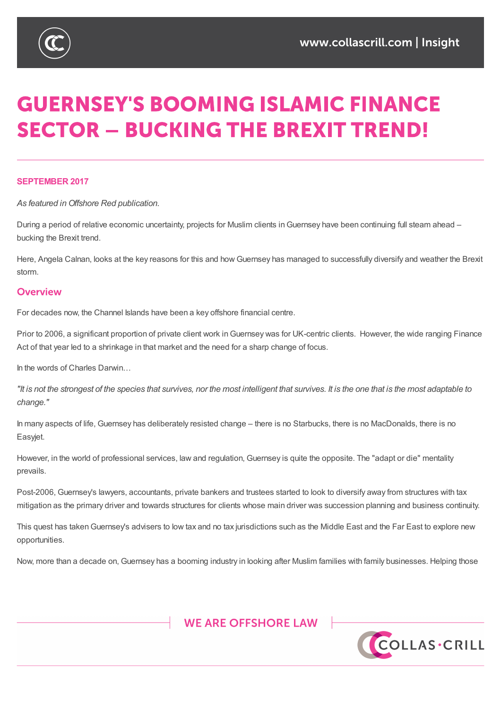

# **GUERNSEY'S BOOMING ISLAMIC FINANCE SECTOR - BUCKING THE BREXIT TREND!**

### **SEPTEMBER 2017**

*As featured in Offshore Red publication.*

During a period of relative economic uncertainty, projects for Muslim clients in Guernsey have been continuing full steam ahead – bucking the Brexit trend.

Here, Angela Calnan, looks at the key reasons for this and how Guernsey has managed to successfully diversify and weather the Brexit storm.

### Overview

For decades now, the Channel Islands have been a key offshore financial centre.

Prior to 2006, a significant proportion of private client work in Guernsey was for UK-centric clients. However, the wide ranging Finance Act of that year led to a shrinkage in that market and the need for a sharp change of focus.

In the words of Charles Darwin…

"It is not the strongest of the species that survives, nor the most intelligent that survives. It is the one that is the most adaptable to *change."*

In many aspects of life, Guernsey has deliberately resisted change – there is no Starbucks, there is no MacDonalds, there is no Easyjet.

However, in the world of professional services, law and regulation, Guernsey is quite the opposite. The "adapt or die" mentality prevails.

Post-2006, Guernsey's lawyers, accountants, private bankers and trustees started to look to diversify away from structures with tax mitigation as the primary driver and towards structures for clients whose main driver was succession planning and business continuity.

This quest has taken Guernsey's advisers to low tax and no tax jurisdictions such as the Middle East and the Far East to explore new opportunities.

Now, more than a decade on, Guernsey has a booming industry in looking after Muslim families with family businesses. Helping those



%9,\_&D\PDQ\_\*XHUQVH\\_-HUVH\\_/RQGRQ

)<br>TKLV QRWH LV DVXPPDU\RIWKHVXEMHFW DQGLV SURYLGHGIRU LQIRUPDWLRQRQO\, WGRH<br>FH VRXJKW :KLOVW HYHU\FDUH KDV FHHO WDNHO LO SURGXFLOJ WKLV ORWH OHLWKHU WKH D EHVRXJKW:KLOVWHYHU\FDUHKDVEHHQWDNHQLQSURGXFLQJWKLVQRWHQHLWKHUWKHDXWKRUQRU&ROODV&ULOOVKDOOEHOLDEOHIRUDQ\HUURUVPLVSULQWRUPLVLQWHUSUHWDWLRQRIDQ\RIWKH PDWWHUVVHWRXWLQLW\$OOFRS\ULJKWLQWKLVPDWHULDOEHORQJVWR&ROODV&ULOO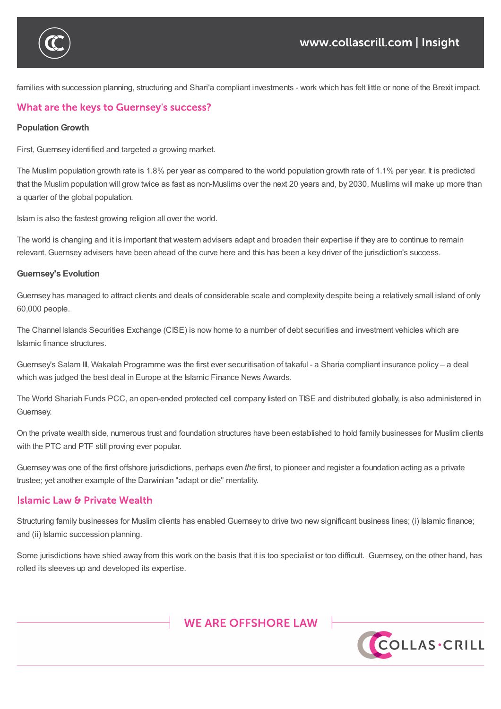

families with succession planning, structuring and Shari'a compliant investments - work which has felt little or none of the Brexit impact.

Now,  $G$ uernsey has a booming industry industry industry industry in looking after  $\mathcal{A}$ 

# What are the keys to Guernsey's success?

### **Population Growth**

First, Guernsey identified and targeted a growing market.

The Muslim population growth rate is 1.8% per year as compared to the world population growth rate of 1.1% per year. It is predicted that the Muslim population will grow twice as fast as non-Muslims over the next 20 years and, by 2030, Muslims will make up more than a quarter of the global population.

Islam is also the fastest growing religion all over the world.

The world is changing and it is important that western advisers adapt and broaden their expertise if they are to continue to remain relevant. Guernsey advisers have been ahead of the curve here and this has been a key driver of the jurisdiction's success.

#### **Guernsey's Evolution**

Guernsey has managed to attract clients and deals of considerable scale and complexity despite being a relatively small island of only 60,000 people.

The Channel Islands Securities Exchange (CISE) is now home to a number of debt securities and investment vehicles which are Islamic finance structures.

Guernsey's Salam III, Wakalah Programme was the first ever securitisation of takaful - a Sharia compliant insurance policy – a deal which was judged the best deal in Europe at the Islamic Finance News Awards.

The World Shariah Funds PCC, an open-ended protected cell company listed on TISE and distributed globally, is also administered in Guernsey.

On the private wealth side, numerous trust and foundation structures have been established to hold family businesses for Muslim clients with the PTC and PTF still proving ever popular.

Guernsey was one of the first offshore jurisdictions, perhaps even *the* first, to pioneer and register a foundation acting as a private trustee; yet another example of the Darwinian "adapt or die" mentality.

## **Islamic Law & Private Wealth**

Structuring family businesses for Muslim clients has enabled Guernsey to drive two new significant business lines; (i) Islamic finance; and (ii) Islamic succession planning.

Some jurisdictions have shied away from this work on the basis that it is too specialist or too difficult. Guernsey, on the other hand, has rolled its sleeves up and developed its expertise.

# **WE ARE OFFSHORE LAW**

%9,\_&D\PDQ\_\*XHUQVH\\_-HUVH\\_/RQGRQ

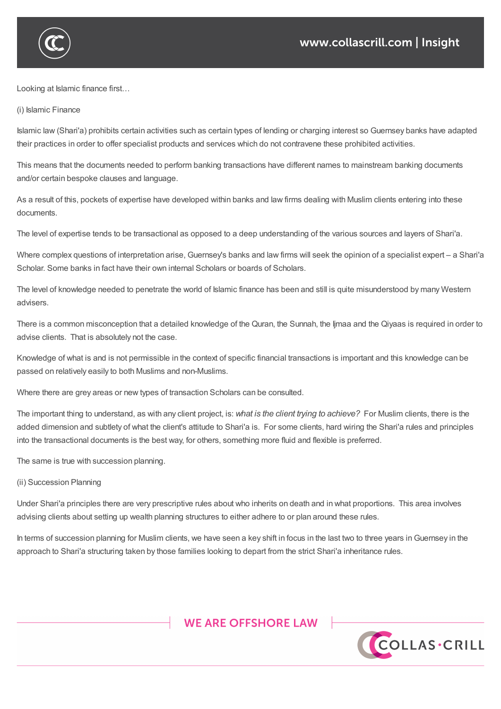

Looking at Islamic finance first…

(i) Islamic Finance

Islamic law (Shari'a) prohibits certain activities such as certain types of lending or charging interest so Guernsey banks have adapted their practices in order to offer specialist products and services which do not contravene these prohibited activities.

This means that the documents needed to perform banking transactions have different names to mainstream banking documents and/or certain bespoke clauses and language.

As a result of this, pockets of expertise have developed within banks and law firms dealing with Muslim clients entering into these documents.

The level of expertise tends to be transactional as opposed to a deep understanding of the various sources and layers of Shari'a.

Where complex questions of interpretation arise, Guernsey's banks and law firms will seek the opinion of a specialist expert – a Shari'a Scholar. Some banks in fact have their own internal Scholars or boards of Scholars.

The level of knowledge needed to penetrate the world of Islamic finance has been and still is quite misunderstood by many Western advisers.

There is a common misconception that a detailed knowledge of the Quran, the Sunnah, the Ijmaa and the Qiyaas is required in order to advise clients. That is absolutely not the case.

Knowledge of what is and is not permissible in the context of specific financial transactions is important and this knowledge can be passed on relatively easily to both Muslims and non-Muslims.

Where there are grey areas or new types of transaction Scholars can be consulted.

The important thing to understand, as with any client project, is: *what is the client trying to achieve?* For Muslim clients, there is the added dimension and subtlety of what the client's attitude to Shari'a is. For some clients, hard wiring the Shari'a rules and principles into the transactional documents is the best way, for others, something more fluid and flexible is preferred.

The same is true with succession planning.

### (ii) Succession Planning

Under Shari'a principles there are very prescriptive rules about who inherits on death and in what proportions. This area involves advising clients about setting up wealth planning structures to either adhere to or plan around these rules.

In terms of succession planning for Muslim clients, we have seen a key shift in focus in the last two to three years in Guernsey in the approach to Shari'a structuring taken by those families looking to depart from the strict Shari'a inheritance rules.

# **WE ARE OFFSHORE LAW**

%9,\_&D\PDQ\_\*XHUQVH\\_-HUVH\\_/RQGRQ

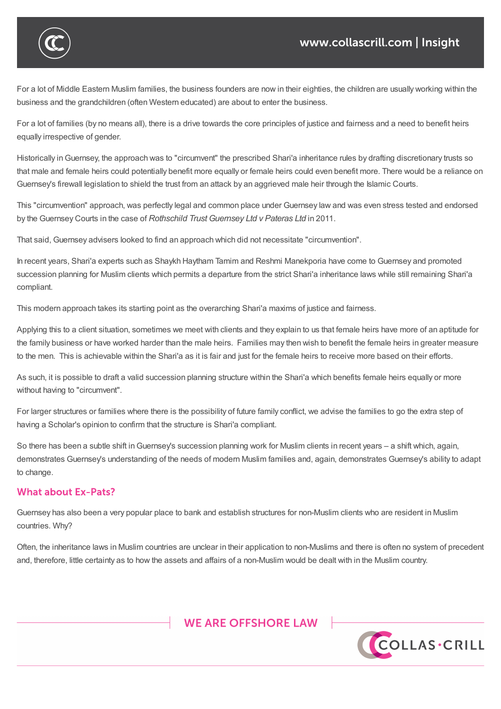

For a lot of Middle Eastern Muslim families, the business founders are now in their eighties, the children are usually working within the business and the grandchildren (often Western educated) are about to enter the business.

For a lot of families (by no means all), there is a drive towards the core principles of justice and fairness and a need to benefit heirs equally irrespective of gender.

Historically inGuernsey, the approach was to "circumvent" the prescribed Shari'a inheritance rules by drafting discretionary trusts so that male and female heirs could potentially benefit more equally or female heirs could even benefit more. There would be a reliance on Guernsey's firewall legislation to shield the trust from an attack by an aggrieved male heir through the Islamic Courts.

This "circumvention" approach, was perfectly legal and common place under Guernsey law and was even stress tested and endorsed by the Guernsey Courts in the case of *Rothschild Trust Guernsey Ltd v Pateras Ltd* in 2011.

That said, Guernsey advisers looked to find an approach which did not necessitate "circumvention".

In recent years, Shari'a experts such as Shaykh Haytham Tamim and Reshmi Manekporia have come to Guernsey and promoted succession planning for Muslim clients which permits a departure from the strict Shari'a inheritance laws while still remaining Shari'a compliant.

This modern approach takes its starting point as the overarching Shari'a maxims of justice and fairness.

Applying this to a client situation, sometimes we meet with clients and they explain to us that female heirs have more of an aptitude for the family business or have worked harder than the male heirs. Families may then wish to benefit the female heirs in greater measure to the men. This is achievable within the Shari'a as it is fair and just for the female heirs to receive more based on their efforts.

As such, it is possible to draft a valid succession planning structure within the Shari'a which benefits female heirs equally or more without having to "circumvent".

For larger structures or families where there is the possibility of future family conflict, we advise the families to go the extra step of having a Scholar's opinion to confirm that the structure is Shari'a compliant.

So there has been a subtle shift in Guernsey's succession planning work for Muslim clients in recent years – a shift which, again, demonstrates Guernsey's understanding of the needs of modern Muslim families and, again, demonstrates Guernsey's ability to adapt to change.

## **What about Ex-Pats?**

Guernsey has also been a very popular place to bank and establish structures for non-Muslim clients who are resident in Muslim countries. Why?

Often, the inheritance laws in Muslim countries are unclear in their application to non-Muslims and there is often no system of precedent and, therefore, little certainty as to how the assets and affairs of a non-Muslim would be dealt with in the Muslim country.



PDWWHUVVHWRXWLQLW\$OOFRS\ULJKWLQWKLVPDWHULDOEHORQJVWR&ROODV&ULOO

%9,\_&D\PDQ\_\*XHUQVH\\_-HUVH\\_/RQGRQ

7KLV QRWH LV DVXPPDU\RIWKH VXEMHFW DQG LV SURYLGHG IRU LQIRUPDWLRQ RQO\, WGRH<br>EH VRXJKW :KLOVW HYHU\FDUH KDV EHHQ WDNHQ LQ SURGXFLQJ WKLV QRWH QHLWKHU WKH D EHVRXJKW:KLOVWHYHU\FDUHKDVEHHQWDNHQLQSURGXFLQJWKLVQRWHQHLWKHUWKHDXWKRUQRU&ROODV&ULOOVKDOOEHOLDEOHIRUDQ\HUURUVPLVSULQWRUPLVLQWHUSUHWDWLRQRIDQ\RIWKH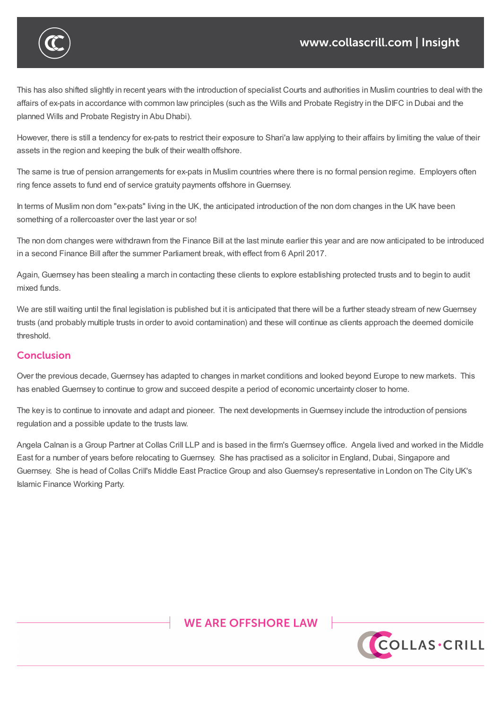

This has also shifted slightly in recent years with the introduction of specialist Courts and authorities in Muslim countries to deal with the affairs of ex-pats in accordance with common law principles (such as the Wills and Probate Registry in the DIFC in Dubai and the planned Wills and Probate Registry in Abu Dhabi).

Guernsey has also been a very popular place to bank and establish structures for non-Muslim clients who are resident in Muslim

and, therefore, little certainty as to how the affairs of a non-Muslim would be dealt with in the Muslim country.

However, there is still a tendency for ex-pats to restrict their exposure to Shari'a law applying to their affairs by limiting the value of their assets in the region and keeping the bulk of their wealth offshore.

The same is true of pension arrangements for ex-pats in Muslim countries where there is no formal pension regime. Employers often ring fence assets to fund end of service gratuity payments offshore inGuernsey.

In terms of Muslim non dom "ex-pats" living in the UK, the anticipated introduction of the non dom changes in the UK have been something of a rollercoaster over the last year or so!

The non dom changes were withdrawn from the Finance Bill at the last minute earlier this year and are now anticipated to be introduced in a second Finance Bill after the summer Parliament break, with effect from 6 April 2017.

Again, Guernsey has been stealing a march in contacting these clients to explore establishing protected trusts and to begin to audit mixed funds.

We are still waiting until the final legislation is published but it is anticipated that there will be a further steady stream of new Guernsey trusts (and probably multiple trusts in order to avoid contamination) and these will continue as clients approach the deemed domicile threshold.

# **Conclusion**

 $\bigcap$ 

Over the previous decade, Guernsey has adapted to changes in market conditions and looked beyond Europe to new markets. This has enabled Guernsey to continue to grow and succeed despite a period of economic uncertainty closer to home.

The key is to continue to innovate and adapt and pioneer. The next developments in Guernsey include the introduction of pensions regulation and a possible update to the trusts law.

Angela Calnan is a Group Partner at Collas Crill LLP and is based in the firm's Guernsey office. Angela lived and worked in the Middle East for a number of years before relocating to Guernsey. She has practised as a solicitor in England, Dubai, Singapore and Guernsey. She is head of Collas Crill's Middle East Practice Group and also Guernsey's representative in London on The City UK's Islamic Finance Working Party.



%9,\_&D\PDQ\_\*XHUQVH\\_-HUVH\\_/RQGRQ